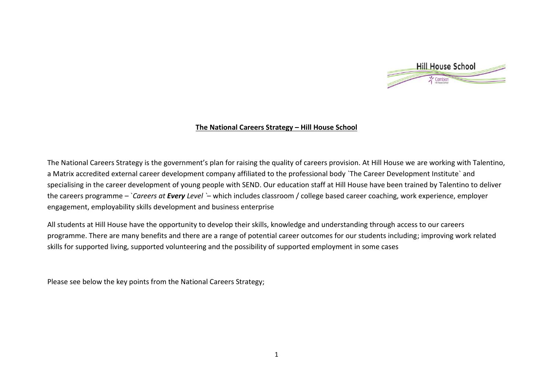

## **The National Careers Strategy – Hill House School**

The National Careers Strategy is the government's plan for raising the quality of careers provision. At Hill House we are working with Talentino, a Matrix accredited external career development company affiliated to the professional body `The Career Development Institute` and specialising in the career development of young people with SEND. Our education staff at Hill House have been trained by Talentino to deliver the careers programme – `*Careers at Every Level `*– which includes classroom / college based career coaching, work experience, employer engagement, employability skills development and business enterprise

All students at Hill House have the opportunity to develop their skills, knowledge and understanding through access to our careers programme. There are many benefits and there are a range of potential career outcomes for our students including; improving work related skills for supported living, supported volunteering and the possibility of supported employment in some cases

Please see below the key points from the National Careers Strategy;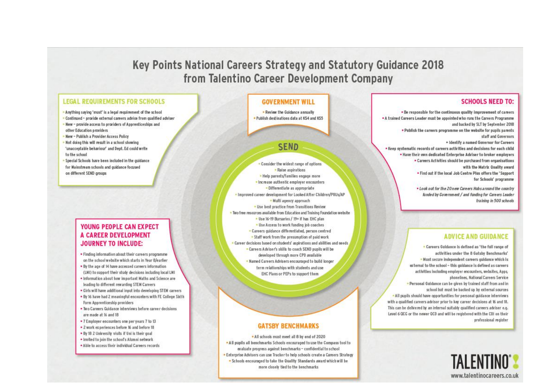# Key Points National Careers Strategy and Statutory Guidance 2018 from Talentino Career Development Company

#### **LEGAL REQUIREMENTS FOR SCHOOLS**

- . Anything saying 'must' is a legal requirement of the school . Continued - provide external careers advice from qualified adviser . New - provide access to providers of Apprenticeships and other Education providers
- New Publish a Provider Access Policy
- Not doing this will result in a school showing 'unacceptable behaviour' and Dept. Ed could write to the school
- Special Schools have been included in the quidance for Mainstream schools and guidance focused on different SEND aroups

#### **YOUNG PEOPLE CAN EXPECT** A CAREER DEVELOPMENT **JOURNEY TO INCLUDE:**

- . Finding information about their careers programme on the school website which starts in Year 8/earlier
- . By the age of 14 have accessed careers information (LMI) to support their study decisions including local LMI
- . Information about how important Maths and Science are leading to different rewarding STEM Careers
- . Girls will have additional input into developing STEM careers
- . By 16 have had 2 meaningful encounters with FE College Sixth Form Apprenticeship providers
- . Two Careers Quidance interviews before career decisions are made at 16 and 18.
- . 7 Employer encounters one per years 7 to 13
- . 2 work experiences before 16 and before 18
- . By 18 2 University visits if Uni is their goal
- . Invited to join the school's Alumni network
- . Able to access their individual Careers records

#### **GOVERNMENT WILL**

. Review the Guidance annually . Publish destinations data at KS4 and KS5

## SEND

. Consider the widest range of options · Raise aspirations - Help parents/families engage more · Increase authentic employer encounters · Differentiate as appropriate . Improved career development for Looked After Children/PRUs/AP · Multi agency approach . Use best practice from Transitions Review . Two free resources available from Education and Training Foundation website . Use 16-19 Bursaries / 19+ if has EHC plan . Use Access to work funding job coaches . Careers guidance differentiated, person centred . Staff work from the presumption of paid work . Career decisions based on students' aspirations and abilities and needs . Careers Adviser's skills to coach SEND pupils will be developed through more CPD available . Named Careers Advisers encouraged to build longer term relationships with students and use EHC Plans or PEPs to support them

#### **GATSBY BENCHMARKS**

. All schools must meet all 8 by end of 2020 . All pupils all benchmarks Schools encouraged to use the Compass tool to evaluate progress against benchmarks - confidential to school • Enterprise Advisers can use Tracker to help schools create a Careers Strategy<br>• Schools encouraged to take the Quality Standards award which will be more closely tied to the benchmarks

#### **SCHOOLS NEED TO:**

. Be responsible for the continuous quality improvement of careers . A trained Careers Leader must be appointed who runs the Careers Programme and backed by SLT by September 2018 . Publish the careers programme on the website for pupils parents. staff and Governors . Identify a named Governor for Careers . Keep systematic records of careers activities and decisions for each child . Have their own dedicated Enterprise Adviser to broker employers . Careers Activities should be purchased from organisations with the Matrix Quality award . Find out if the local Job Centre Plus offers the 'Support' for Schools' programme

> . Look out for the 20 new Careers Hubs around the country funded by Government / and funding for Careers Leader training in 500 schools

## **ADVICE AND GUIDANCE**

. Careers Guidance is defined as 'the full range of activities under the 8 Gatsby Benchmarks' . Nust secure independent careers guidance which is external to the school - this guidance is defined as careers activities including employer encounters, websites, Apps. phonelines, National Careers Service . Personal Guidance can be given by trained staff from and in school but must be backed up by external sources . All pupils should have opportunities for personal quidance interviews with a qualified careers advisor prior to key career decisions at 16 and 18. This can be delivered by an internal suitably qualified careers adviser e.g. Level 6 OCG or the newer OCD and will be registered with the CDI on their professional register

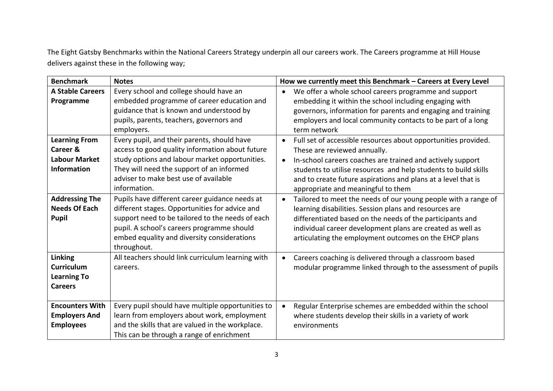The Eight Gatsby Benchmarks within the National Careers Strategy underpin all our careers work. The Careers programme at Hill House delivers against these in the following way;

| <b>Benchmark</b>                                                               | <b>Notes</b>                                                                                                                                                                                                                                                     | How we currently meet this Benchmark - Careers at Every Level                                                                                                                                                                                                                                                                                                    |
|--------------------------------------------------------------------------------|------------------------------------------------------------------------------------------------------------------------------------------------------------------------------------------------------------------------------------------------------------------|------------------------------------------------------------------------------------------------------------------------------------------------------------------------------------------------------------------------------------------------------------------------------------------------------------------------------------------------------------------|
| <b>A Stable Careers</b><br>Programme                                           | Every school and college should have an<br>embedded programme of career education and<br>guidance that is known and understood by<br>pupils, parents, teachers, governors and<br>employers.                                                                      | We offer a whole school careers programme and support<br>$\bullet$<br>embedding it within the school including engaging with<br>governors, information for parents and engaging and training<br>employers and local community contacts to be part of a long<br>term network                                                                                      |
| <b>Learning From</b><br>Career &<br><b>Labour Market</b><br><b>Information</b> | Every pupil, and their parents, should have<br>access to good quality information about future<br>study options and labour market opportunities.<br>They will need the support of an informed<br>adviser to make best use of available<br>information.           | Full set of accessible resources about opportunities provided.<br>$\bullet$<br>These are reviewed annually.<br>In-school careers coaches are trained and actively support<br>$\bullet$<br>students to utilise resources and help students to build skills<br>and to create future aspirations and plans at a level that is<br>appropriate and meaningful to them |
| <b>Addressing The</b><br><b>Needs Of Each</b><br><b>Pupil</b>                  | Pupils have different career guidance needs at<br>different stages. Opportunities for advice and<br>support need to be tailored to the needs of each<br>pupil. A school's careers programme should<br>embed equality and diversity considerations<br>throughout. | Tailored to meet the needs of our young people with a range of<br>$\bullet$<br>learning disabilities. Session plans and resources are<br>differentiated based on the needs of the participants and<br>individual career development plans are created as well as<br>articulating the employment outcomes on the EHCP plans                                       |
| <b>Linking</b><br><b>Curriculum</b><br><b>Learning To</b><br><b>Careers</b>    | All teachers should link curriculum learning with<br>careers.                                                                                                                                                                                                    | Careers coaching is delivered through a classroom based<br>$\bullet$<br>modular programme linked through to the assessment of pupils                                                                                                                                                                                                                             |
| <b>Encounters With</b><br><b>Employers And</b><br><b>Employees</b>             | Every pupil should have multiple opportunities to<br>learn from employers about work, employment<br>and the skills that are valued in the workplace.<br>This can be through a range of enrichment                                                                | Regular Enterprise schemes are embedded within the school<br>where students develop their skills in a variety of work<br>environments                                                                                                                                                                                                                            |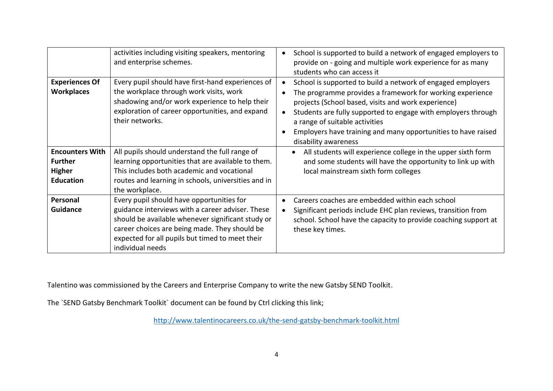|                                                                               | activities including visiting speakers, mentoring<br>and enterprise schemes.                                                                                                                                                                                               | School is supported to build a network of engaged employers to<br>provide on - going and multiple work experience for as many<br>students who can access it                                                                                                                                                                                                                 |
|-------------------------------------------------------------------------------|----------------------------------------------------------------------------------------------------------------------------------------------------------------------------------------------------------------------------------------------------------------------------|-----------------------------------------------------------------------------------------------------------------------------------------------------------------------------------------------------------------------------------------------------------------------------------------------------------------------------------------------------------------------------|
| <b>Experiences Of</b><br><b>Workplaces</b>                                    | Every pupil should have first-hand experiences of<br>the workplace through work visits, work<br>shadowing and/or work experience to help their<br>exploration of career opportunities, and expand<br>their networks.                                                       | School is supported to build a network of engaged employers<br>The programme provides a framework for working experience<br>projects (School based, visits and work experience)<br>Students are fully supported to engage with employers through<br>a range of suitable activities<br>Employers have training and many opportunities to have raised<br>disability awareness |
| <b>Encounters With</b><br><b>Further</b><br><b>Higher</b><br><b>Education</b> | All pupils should understand the full range of<br>learning opportunities that are available to them.<br>This includes both academic and vocational<br>routes and learning in schools, universities and in<br>the workplace.                                                | All students will experience college in the upper sixth form<br>and some students will have the opportunity to link up with<br>local mainstream sixth form colleges                                                                                                                                                                                                         |
| Personal<br><b>Guidance</b>                                                   | Every pupil should have opportunities for<br>guidance interviews with a career adviser. These<br>should be available whenever significant study or<br>career choices are being made. They should be<br>expected for all pupils but timed to meet their<br>individual needs | Careers coaches are embedded within each school<br>Significant periods include EHC plan reviews, transition from<br>school. School have the capacity to provide coaching support at<br>these key times.                                                                                                                                                                     |

Talentino was commissioned by the Careers and Enterprise Company to write the new Gatsby SEND Toolkit.

The `SEND Gatsby Benchmark Toolkit` document can be found by Ctrl clicking this link;

<http://www.talentinocareers.co.uk/the-send-gatsby-benchmark-toolkit.html>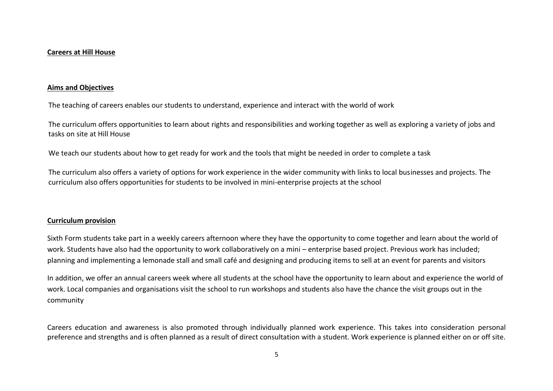#### **Careers at Hill House**

#### **Aims and Objectives**

The teaching of careers enables our students to understand, experience and interact with the world of work

The curriculum offers opportunities to learn about rights and responsibilities and working together as well as exploring a variety of jobs and tasks on site at Hill House

We teach our students about how to get ready for work and the tools that might be needed in order to complete a task

The curriculum also offers a variety of options for work experience in the wider community with links to local businesses and projects. The curriculum also offers opportunities for students to be involved in mini-enterprise projects at the school

#### **Curriculum provision**

Sixth Form students take part in a weekly careers afternoon where they have the opportunity to come together and learn about the world of work. Students have also had the opportunity to work collaboratively on a mini – enterprise based project. Previous work has included; planning and implementing a lemonade stall and small café and designing and producing items to sell at an event for parents and visitors

In addition, we offer an annual careers week where all students at the school have the opportunity to learn about and experience the world of work. Local companies and organisations visit the school to run workshops and students also have the chance the visit groups out in the community

Careers education and awareness is also promoted through individually planned work experience. This takes into consideration personal preference and strengths and is often planned as a result of direct consultation with a student. Work experience is planned either on or off site.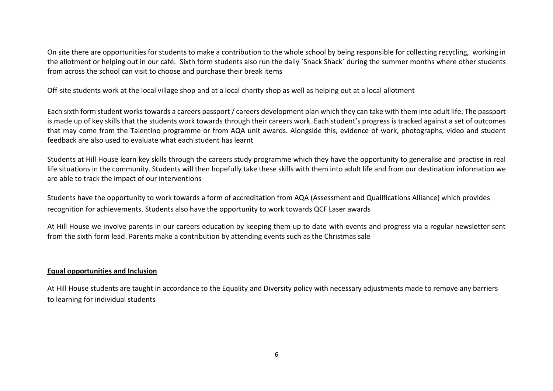On site there are opportunities for students to make a contribution to the whole school by being responsible for collecting recycling, working in the allotment or helping out in our café. Sixth form students also run the daily `Snack Shack` during the summer months where other students from across the school can visit to choose and purchase their break items

Off-site students work at the local village shop and at a local charity shop as well as helping out at a local allotment

Each sixth form student works towards a careers passport / careers development plan which they can take with them into adult life. The passport is made up of key skills that the students work towards through their careers work. Each student's progress is tracked against a set of outcomes that may come from the Talentino programme or from AQA unit awards. Alongside this, evidence of work, photographs, video and student feedback are also used to evaluate what each student has learnt

Students at Hill House learn key skills through the careers study programme which they have the opportunity to generalise and practise in real life situations in the community. Students will then hopefully take these skills with them into adult life and from our destination information we are able to track the impact of our interventions

Students have the opportunity to work towards a form of accreditation from AQA (Assessment and Qualifications Alliance) which provides recognition for achievements. Students also have the opportunity to work towards QCF Laser awards

At Hill House we involve parents in our careers education by keeping them up to date with events and progress via a regular newsletter sent from the sixth form lead. Parents make a contribution by attending events such as the Christmas sale

## **Equal opportunities and Inclusion**

At Hill House students are taught in accordance to the Equality and Diversity policy with necessary adjustments made to remove any barriers to learning for individual students